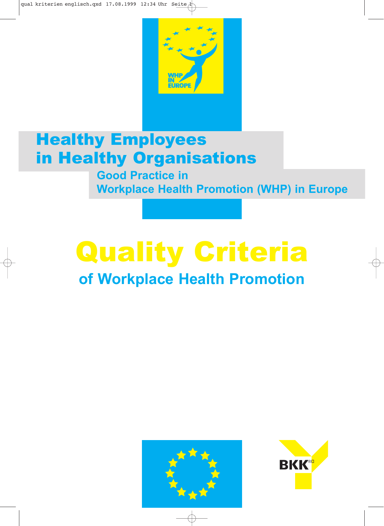

### Healthy Employees in Healthy Organisations

**Good Practice in Workplace Health Promotion (WHP) in Europe**

### Quality Criteria **of Workplace Health Promotion**



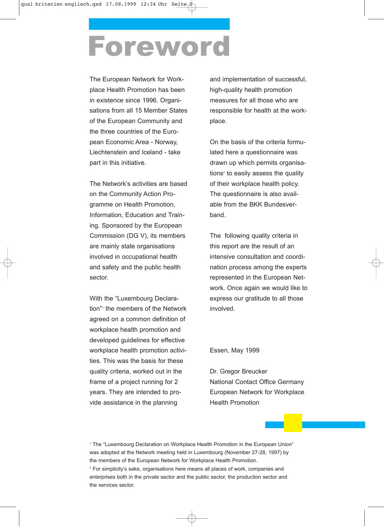Foreword

The European Network for Workplace Health Promotion has been in existence since 1996. Organisations from all 15 Member States of the European Community and the three countries of the European Economic Area - Norway, Liechtenstein and Iceland - take part in this initiative.

The Network's activities are based on the Community Action Programme on Health Promotion, Information, Education and Training. Sponsored by the European Commission (DG V), its members are mainly state organisations involved in occupational health and safety and the public health sector.

With the "Luxembourg Declaration"<sup>1</sup> the members of the Network agreed on a common definition of workplace health promotion and developed guidelines for effective workplace health promotion activities. This was the basis for these quality criteria, worked out in the frame of a project running for 2 years. They are intended to provide assistance in the planning

and implementation of successful, high-quality health promotion measures for all those who are responsible for health at the workplace.

On the basis of the criteria formulated here a questionnaire was drawn up which permits organisations<sup>2</sup> to easily assess the quality of their workplace health policy. The questionnaire is also available from the BKK Bundesverband.

The following quality criteria in this report are the result of an intensive consultation and coordination process among the experts represented in the European Network. Once again we would like to express our gratitude to all those involved.

#### Essen, May 1999

Dr. Gregor Breucker National Contact Office Germany European Network for Workplace Health Promotion

<sup>1</sup> The "Luxembourg Declaration on Workplace Health Promotion in the European Union" was adopted at the Network meeting held in Luxembourg (November 27-28, 1997) by the members of the European Network for Workplace Health Promotion.

<sup>2</sup> For simplicity's sake, organisations here means all places of work, companies and enterprises both in the private sector and the public sector, the production sector and the services sector.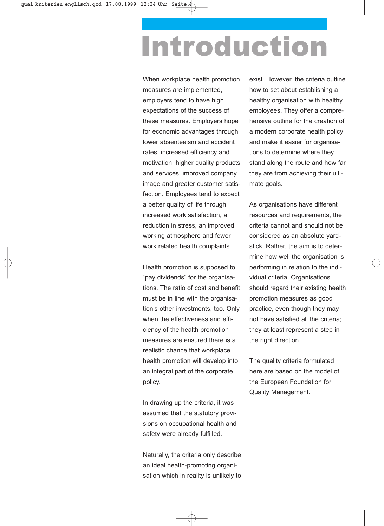## Introduction

When workplace health promotion measures are implemented, employers tend to have high expectations of the success of these measures. Employers hope for economic advantages through lower absenteeism and accident rates, increased efficiency and motivation, higher quality products and services, improved company image and greater customer satisfaction. Employees tend to expect a better quality of life through increased work satisfaction, a reduction in stress, an improved working atmosphere and fewer work related health complaints.

Health promotion is supposed to "pay dividends" for the organisations. The ratio of cost and benefit must be in line with the organisation's other investments, too. Only when the effectiveness and efficiency of the health promotion measures are ensured there is a realistic chance that workplace health promotion will develop into an integral part of the corporate policy.

In drawing up the criteria, it was assumed that the statutory provisions on occupational health and safety were already fulfilled.

Naturally, the criteria only describe an ideal health-promoting organisation which in reality is unlikely to exist. However, the criteria outline how to set about establishing a healthy organisation with healthy employees. They offer a comprehensive outline for the creation of a modern corporate health policy and make it easier for organisations to determine where they stand along the route and how far they are from achieving their ultimate goals.

As organisations have different resources and requirements, the criteria cannot and should not be considered as an absolute yardstick. Rather, the aim is to determine how well the organisation is performing in relation to the individual criteria. Organisations should regard their existing health promotion measures as good practice, even though they may not have satisfied all the criteria; they at least represent a step in the right direction.

The quality criteria formulated here are based on the model of the European Foundation for Quality Management.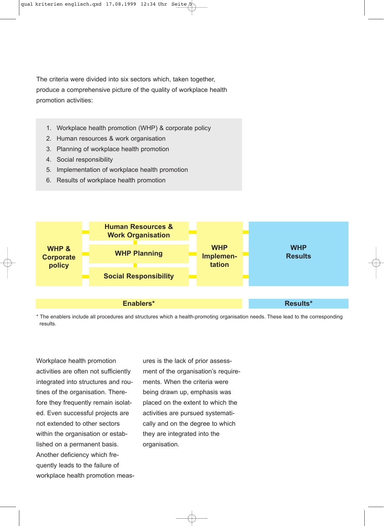The criteria were divided into six sectors which, taken together, produce a comprehensive picture of the quality of workplace health promotion activities:

- 1. Workplace health promotion (WHP) & corporate policy
- 2. Human resources & work organisation
- 3. Planning of workplace health promotion
- 4. Social responsibility
- 5. Implementation of workplace health promotion
- 6. Results of workplace health promotion



\* The enablers include all procedures and structures which a health-promoting organisation needs. These lead to the corresponding results.

Workplace health promotion activities are often not sufficiently integrated into structures and routines of the organisation. Therefore they frequently remain isolated. Even successful projects are not extended to other sectors within the organisation or established on a permanent basis. Another deficiency which frequently leads to the failure of workplace health promotion meas-

ures is the lack of prior assessment of the organisation's requirements. When the criteria were being drawn up, emphasis was placed on the extent to which the activities are pursued systematically and on the degree to which they are integrated into the organisation.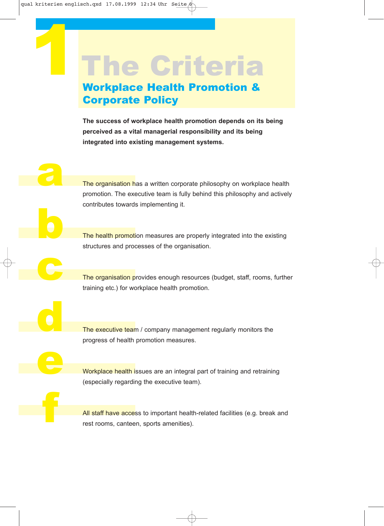### **The Criteria** Workplace Health Promotion &

#### Corporate Policy

a

b

c

d

e

f

**The success of workplace health promotion depends on its being perceived as a vital managerial responsibility and its being integrated into existing management systems.**

The organisation has a written corporate philosophy on workplace health promotion. The executive team is fully behind this philosophy and actively contributes towards implementing it.

The health promotion measures are properly integrated into the existing structures and processes of the organisation.

The organisation provides enough resources (budget, staff, rooms, further training etc.) for workplace health promotion.

The executive team / company management regularly monitors the progress of health promotion measures.

Workplace health issues are an integral part of training and retraining (especially regarding the executive team).

All staff have access to important health-related facilities (e.g. break and rest rooms, canteen, sports amenities).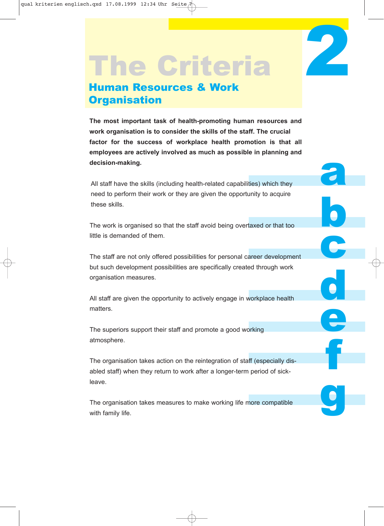

**The most important task of health-promoting human resources and work organisation is to consider the skills of the staff. The crucial factor for the success of workplace health promotion is that all employees are actively involved as much as possible in planning and**

decision-making.<br>
All staff have the skills (including health-related capabilities) which they<br>
need to perform their work or they are given the opportunity to acquire All staff have the skills (including health-related capabilities) which they need to perform their work or they are given the opportunity to acquire these skills.

The work is organised so that the staff avoid being overtaxed or that too little is demanded of them.

The staff are not only offered possibilities for personal career development but such development possibilities are specifically created through work organisation measures.

All staff are given the opportunity to actively engage in workplace health matters.

The superiors support their staff and promote a good working atmosphere.

The organisation takes action on the reintegration of staff (especially disabled staff) when they return to work after a longer-term period of sickleave.

The organisation takes measures to make working life more compatible with family life.

c e f g d b

2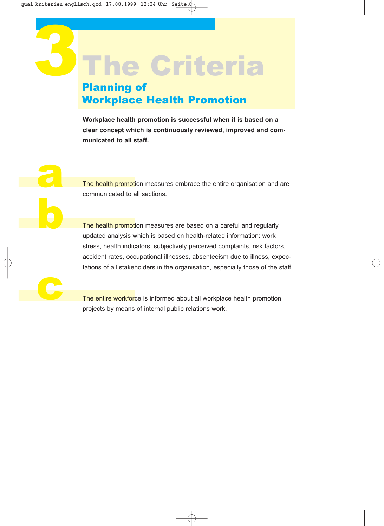#### Planning of Workplace Health Promotion

**Workplace health promotion is successful when it is based on a clear concept which is continuously reviewed, improved and communicated to all staff.**

a b

The health promotion measures embrace the entire organisation and are communicated to all sections.

The health promotion measures are based on a careful and regularly updated analysis which is based on health-related information: work stress, health indicators, subjectively perceived complaints, risk factors, accident rates, occupational illnesses, absenteeism due to illness, expectations of all stakeholders in the organisation, especially those of the staff.



The entire workforce is informed about all workplace health promotion projects by means of internal public relations work.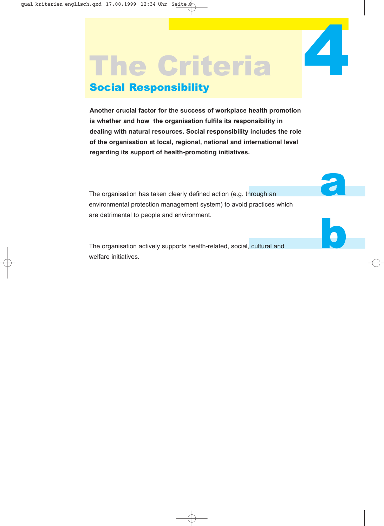#### Social Responsibility

**Another crucial factor for the success of workplace health promotion is whether and how the organisation fulfils its responsibility in dealing with natural resources. Social responsibility includes the role of the organisation at local, regional, national and international level regarding its support of health-promoting initiatives.**

4

a

b

The organisation has taken clearly defined action (e.g. through an environmental protection management system) to avoid practices which are detrimental to people and environment.

The organisation actively supports health-related, social, cultural and welfare initiatives.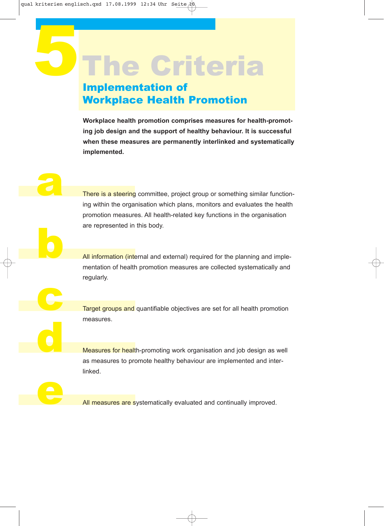#### Implementation of Workplace Health Promotion

a

b

c

d

e

**Workplace health promotion comprises measures for health-promoting job design and the support of healthy behaviour. It is successful when these measures are permanently interlinked and systematically implemented.**

There is a steering committee, project group or something similar functioning within the organisation which plans, monitors and evaluates the health promotion measures. All health-related key functions in the organisation are represented in this body.

All information (internal and external) required for the planning and implementation of health promotion measures are collected systematically and regularly.

Target groups and quantifiable objectives are set for all health promotion measures.

Measures for health-promoting work organisation and job design as well as measures to promote healthy behaviour are implemented and interlinked.

All measures are systematically evaluated and continually improved.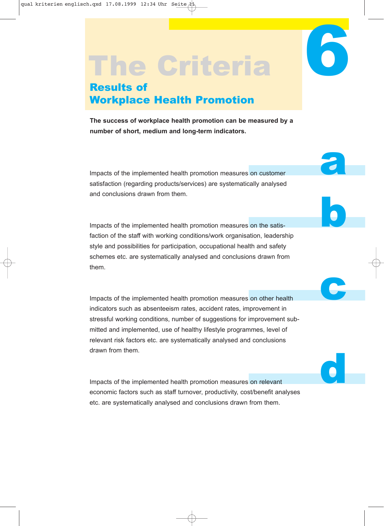#### Results of Workplace Health Promotion

**The success of workplace health promotion can be measured by a number of short, medium and long-term indicators.**

6

a

b

c

d

Impacts of the implemented health promotion measures on customer satisfaction (regarding products/services) are systematically analysed and conclusions drawn from them.

Impacts of the implemented health promotion measures on the satisfaction of the staff with working conditions/work organisation, leadership style and possibilities for participation, occupational health and safety schemes etc. are systematically analysed and conclusions drawn from them.

Impacts of the implemented health promotion measures on other health indicators such as absenteeism rates, accident rates, improvement in stressful working conditions, number of suggestions for improvement submitted and implemented, use of healthy lifestyle programmes, level of relevant risk factors etc. are systematically analysed and conclusions drawn from them.

Impacts of the implemented health promotion measures on relevant economic factors such as staff turnover, productivity, cost/benefit analyses etc. are systematically analysed and conclusions drawn from them.